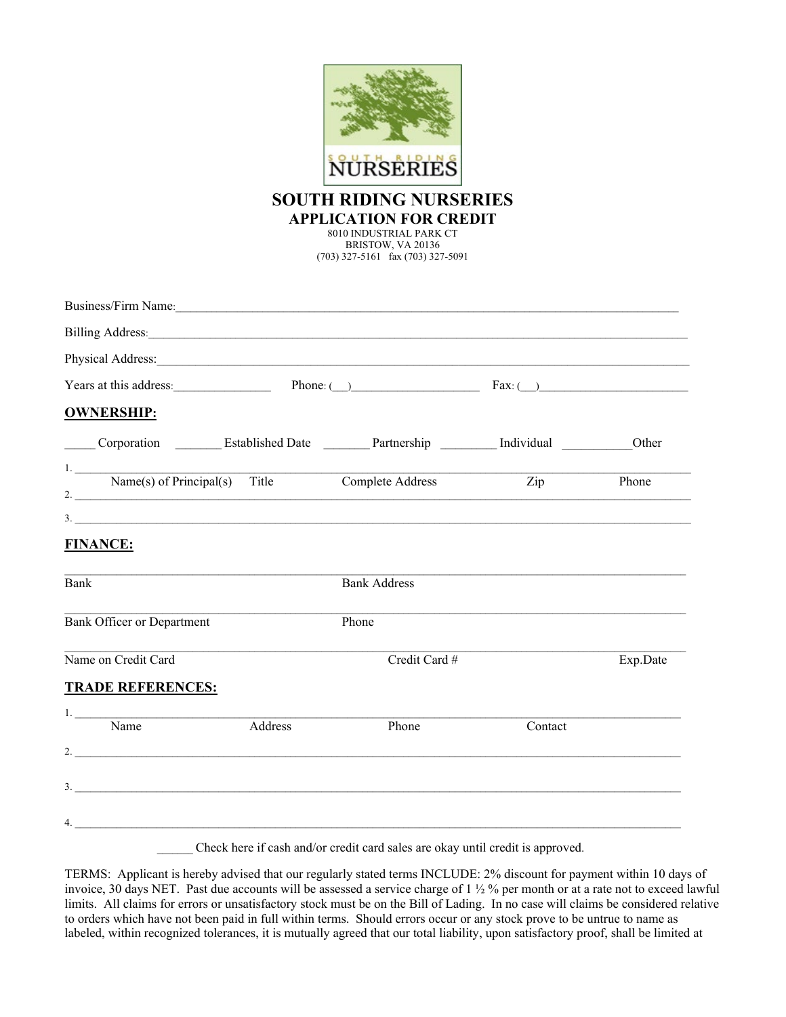

## **SOUTH RIDING NURSERIES APPLICATION FOR CREDIT**

8010 INDUSTRIAL PARK CT BRISTOW, VA 20136 (703) 327-5161 fax (703) 327-5091

| Business/Firm Name: 1988. [19] Manness Allen Name: 1988. [19] Manneson Manneson Manneson Manneson Manneson Manneson Manneson Manneson Manneson Manneson Manneson Manneson Manneson Manneson Manneson Manneson Manneson Manneso      |         |                     |                                   |          |
|-------------------------------------------------------------------------------------------------------------------------------------------------------------------------------------------------------------------------------------|---------|---------------------|-----------------------------------|----------|
|                                                                                                                                                                                                                                     |         |                     |                                   |          |
|                                                                                                                                                                                                                                     |         |                     |                                   |          |
| Years at this address:                                                                                                                                                                                                              |         |                     | Phone: $\bigcirc$ Fax: $\bigcirc$ |          |
| <b>OWNERSHIP:</b>                                                                                                                                                                                                                   |         |                     |                                   |          |
| Corporation ___________ Established Date ___________ Partnership ___________ Individual                                                                                                                                             |         |                     |                                   | Other    |
| 1. Name(s) of Principal(s) Title Complete Address<br>2. $\overline{\phantom{a}}$                                                                                                                                                    |         |                     | $\mathop{\mathrm{Zip}}\nolimits$  | Phone    |
| $\frac{1}{2}$                                                                                                                                                                                                                       |         |                     |                                   |          |
| <b>FINANCE:</b>                                                                                                                                                                                                                     |         |                     |                                   |          |
| Bank                                                                                                                                                                                                                                |         | <b>Bank Address</b> |                                   |          |
| <b>Bank Officer or Department</b>                                                                                                                                                                                                   |         | Phone               |                                   |          |
| Name on Credit Card                                                                                                                                                                                                                 |         | Credit Card #       |                                   | Exp.Date |
| <b>TRADE REFERENCES:</b>                                                                                                                                                                                                            |         |                     |                                   |          |
| Name                                                                                                                                                                                                                                | Address | Phone               | Contact                           |          |
|                                                                                                                                                                                                                                     |         |                     |                                   |          |
|                                                                                                                                                                                                                                     |         |                     |                                   |          |
| $\overline{a}$ . The contract of the contract of the contract of the contract of the contract of the contract of the contract of the contract of the contract of the contract of the contract of the contract of the contract of th |         |                     |                                   |          |

Check here if cash and/or credit card sales are okay until credit is approved.

TERMS: Applicant is hereby advised that our regularly stated terms INCLUDE: 2% discount for payment within 10 days of invoice, 30 days NET. Past due accounts will be assessed a service charge of 1 ½ % per month or at a rate not to exceed lawful limits. All claims for errors or unsatisfactory stock must be on the Bill of Lading. In no case will claims be considered relative to orders which have not been paid in full within terms. Should errors occur or any stock prove to be untrue to name as labeled, within recognized tolerances, it is mutually agreed that our total liability, upon satisfactory proof, shall be limited at